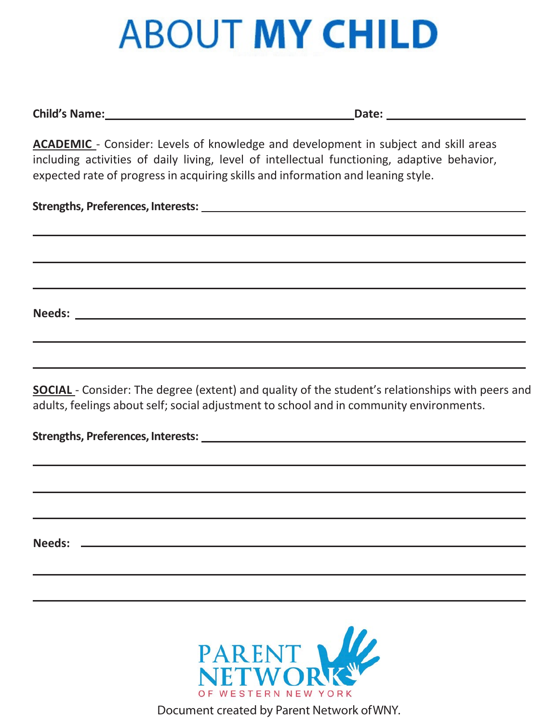## **ABOUT MY CHILD**

**Child's Name: Date:**

**ACADEMIC** - Consider: Levels of knowledge and development in subject and skill areas including activities of daily living, level of intellectual functioning, adaptive behavior, expected rate of progress in acquiring skills and information and leaning style.

 **Strengths, Preferences, Interests:**

 **Needs:** 

**SOCIAL** - Consider: The degree (extent) and quality of the student's relationships with peers and adults, feelings about self; social adjustment to school and in community environments.

 **Strengths, Preferences, Interests:**

 **Needs:**

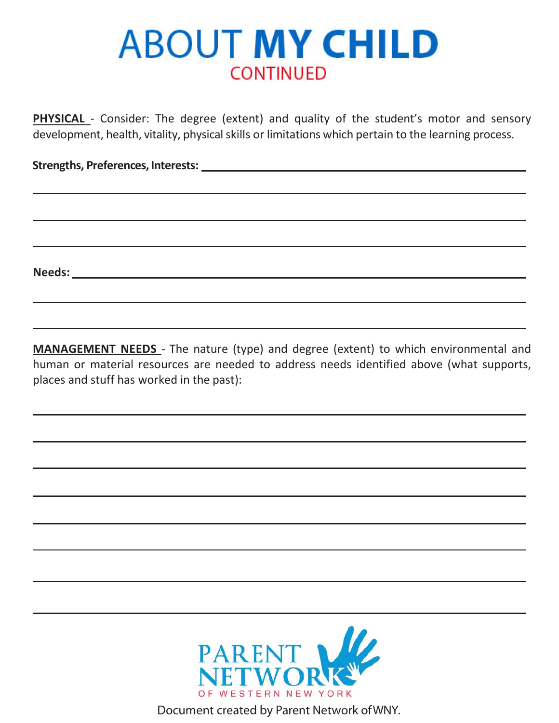## **ABOUT MY CHILD CONTINUED**

**PHYSICAL** - Consider: The degree (extent) and quality of the student's motor and sensory development, health, vitality, physical skills or limitations which pertain to the learning process.

 **Strengths, Preferences, Interests:**

 **Needs:**

**MANAGEMENT NEEDS** - The nature (type) and degree (extent) to which environmental and human or material resources are needed to address needs identified above (what supports, places and stuff has worked in the past):

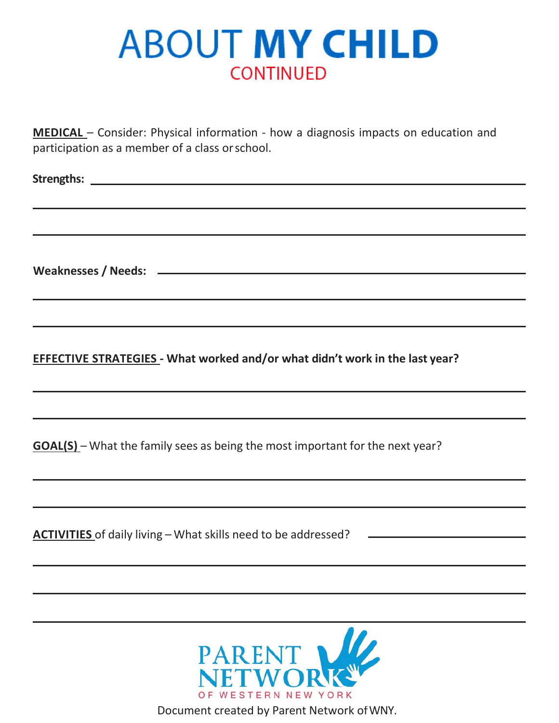## **ABOUT MY CHILD CONTINUED**

**MEDICAL** – Consider: Physical information - how a diagnosis impacts on education and participation as a member of a class orschool.

 **Strengths:** 

 **Weaknesses / Needs:**

**EFFECTIVE STRATEGIES - What worked and/or what didn't work in the last year?**

**GOAL(S)** – What the family sees as being the most important for the next year?

**ACTIVITIES** of daily living – What skills need to be addressed?